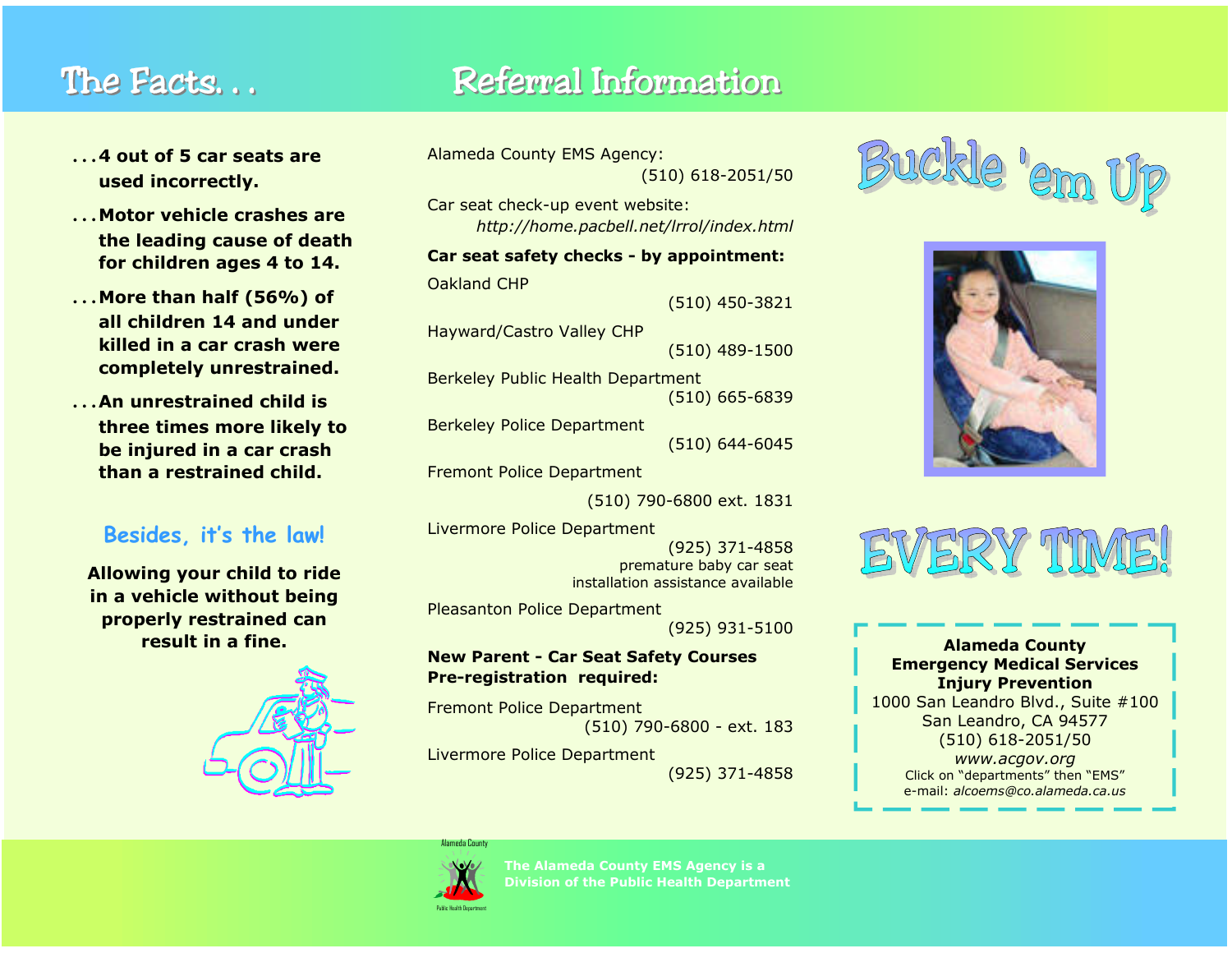# The Facts...

# Referral Information

- …**4 out of 5 car seats are used incorrectly.**
- …**Motor vehicle crashes are the leading cause of death for children ages 4 to 14.**
- …**More than half (56%) of all children 14 and under killed in a car crash were completely unrestrained.**
- …**An unrestrained child is three times more likely to be injured in a car crash than a restrained child.**

### **Besides, it's the law!**

**Allowing your child to ride in a vehicle without being properly restrained can result in a fine.** 



```
Alameda County EMS Agency: 
             (510) 618-2051/50
```
Car seat check-up event website: *http://home.pacbell.net/lrrol/index.html* 

## **Car seat safety checks - by appointment:**

Oakland CHP (510) 450-3821

Hayward/Castro Valley CHP

(510) 489-1500

Berkeley Public Health Department (510) 665-6839

Berkeley Police Department (510) 644-6045

Fremont Police Department

(510) 790-6800 ext. 1831

Livermore Police Department (925) 371-4858 premature baby car seat installation assistance available

Pleasanton Police Department

(925) 931-5100

#### **New Parent - Car Seat Safety Courses Pre-registration required:**

Fremont Police Department (510) 790-6800 - ext. 183

Livermore Police Department (925) 371-4858







#### **Alameda County Emergency Medical Services Injury Prevention**

1000 San Leandro Blvd., Suite #100 San Leandro, CA 94577 (510) 618-2051/50 *www.acgov.org* 

Click on "departments" then "EMS" e-mail: *alcoems@co.alameda.ca.us* 



Alameda County

**The Alameda County EMS Agency is a Division of the Public Health Department**